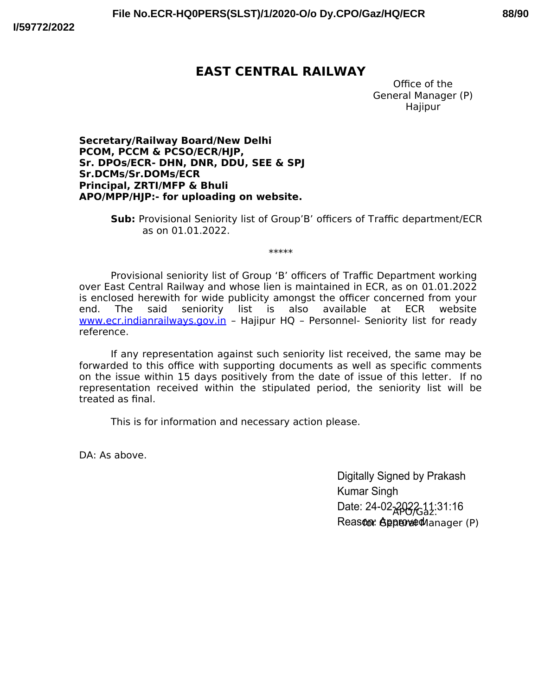## **EAST CENTRAL RAILWAY**

Office of the General Manager (P) Hajipur

**Secretary/Railway Board/New Delhi PCOM, PCCM & PCSO/ECR/HJP, Sr. DPOs/ECR- DHN, DNR, DDU, SEE & SPJ Sr.DCMs/Sr.DOMs/ECR Principal, ZRTI/MFP & Bhuli APO/MPP/HJP:- for uploading on website.**

> **Sub:** Provisional Seniority list of Group'B' officers of Traffic department/ECR as on 01.01.2022.

> > \*\*\*\*\*

Provisional seniority list of Group 'B' officers of Traffic Department working over East Central Railway and whose lien is maintained in ECR, as on 01.01.2022 is enclosed herewith for wide publicity amongst the officer concerned from your end. The said seniority list is also available at ECR website www.ecr.indianrailways.gov.in – Hajipur HQ – Personnel- Seniority list for ready reference.

If any representation against such seniority list received, the same may be forwarded to this office with supporting documents as well as specifc comments on the issue within 15 days positively from the date of issue of this letter. If no representation received within the stipulated period, the seniority list will be treated as fnal.

This is for information and necessary action please.

DA: As above.

Digitally Signed by Prakash **Kumar Singh** Date: 24-02-2022-11:31:16 Reason: Approxed Manager (P)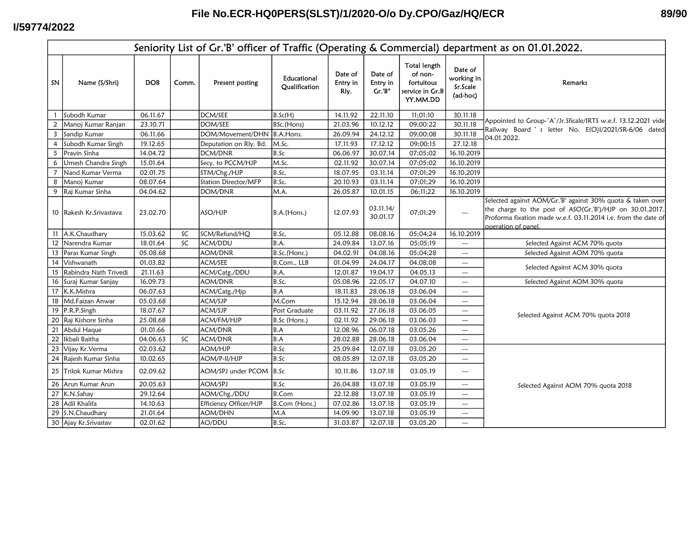## **I/59774/2022**

| Seniority List of Gr.'B' officer of Traffic (Operating & Commercial) department as on 01.01.2022. |                      |                                         |                              |                             |                                   |                                                                      |                                               |                                                                                                                                                                                                                 |  |  |  |
|---------------------------------------------------------------------------------------------------|----------------------|-----------------------------------------|------------------------------|-----------------------------|-----------------------------------|----------------------------------------------------------------------|-----------------------------------------------|-----------------------------------------------------------------------------------------------------------------------------------------------------------------------------------------------------------------|--|--|--|
| <b>SN</b><br>Name (S/Shri)                                                                        | <b>DOB</b>           | Present posting<br>Comm.                | Educational<br>Qualification | Date of<br>Entry in<br>Rly. | Date of<br>Entry in<br>Gr.'B"     | Total length<br>of non-<br>fortuitous<br>service in Gr.B<br>YY.MM.DD | Date of<br>working in<br>Sr.Scale<br>(ad-hoc) | Remarks                                                                                                                                                                                                         |  |  |  |
| Subodh Kumar<br>$\mathbf{1}$                                                                      | 06.11.67             | DCM/SEE                                 | B.Sc(H)                      | 14.11.92                    | 22.11.10                          | 11;01;10                                                             | 30.11.18                                      |                                                                                                                                                                                                                 |  |  |  |
| $\overline{2}$<br>Manoj Kumar Ranjan                                                              | 23.10.71             | DOM/SEE                                 | BSc. (Hons)                  | 21.03.96                    | 10.12.12                          | 09;00:22                                                             | 30.11.18                                      | Appointed to Group-'A'/Jr.Sficale/IRTS w.e.f. 13.12.2021 vide<br>Railway Board ' s letter No. E(O)I/2021/SR-6/06 dated                                                                                          |  |  |  |
| $\overline{\mathbf{3}}$<br>Sandip Kumar                                                           | 06.11.66             | DOM/Movement/DHN B.A.Hons.              |                              | 26.09.94                    | 24.12.12                          | 09;00;08                                                             | 30.11.18                                      | 04.01.2022.                                                                                                                                                                                                     |  |  |  |
| 4 Subodh Kumar Singh                                                                              | 19.12.65             | Deputation on Rly. Bd.                  | M.Sc.                        | 17.11.93                    | 17.12.12                          | 09;00;15                                                             | 27.12.18                                      |                                                                                                                                                                                                                 |  |  |  |
| $5\overline{)}$<br>Pravin Sinha                                                                   | 14.04.72             | DCM/DNR                                 | B.Sc                         | 06.06.97                    | 30.07.14                          | 07;05;02                                                             | 16.10.2019                                    |                                                                                                                                                                                                                 |  |  |  |
| 6<br>Umesh Chandra Singh                                                                          | 15.01.64             | Secy. to PCCM/HJP                       | M.Sc.                        | 02.11.92                    | 30.07.14                          | 07;05;02                                                             | 16.10.2019                                    |                                                                                                                                                                                                                 |  |  |  |
| $\overline{7}$<br>Nand Kumar Verma                                                                | 02.01.75             | STM/Chg./HJP                            | B.Sc.                        | 18.07.95                    | 03.11.14                          | 07;01;29                                                             | 16.10.2019                                    |                                                                                                                                                                                                                 |  |  |  |
| 8<br>Manoj Kumar                                                                                  | 08.07.64             | <b>Station Director/MFP</b>             | B.Sc.                        | 20.10.93                    | 03.11.14                          | 07;01;29                                                             | 16.10.2019                                    |                                                                                                                                                                                                                 |  |  |  |
| 9 Raj Kumar Sinha<br>10 Rakesh Kr. Srivastava                                                     | 04.04.62<br>23.02.70 | DOM/DNR<br>ASO/HJP                      | M.A.<br>B.A.(Hons.)          | 26.05.87<br>12.07.93        | 10.01.15<br>03.11.14/<br>30.01.17 | 06;11;22<br>07;01;29                                                 | 16.10.2019<br>$\sim$ $\sim$ $\sim$            | Selected against AOM/Gr.'B' against 30% quota & taken over<br>the charge to the post of ASO(Gr.'B')/HJP on 30.01.2017.<br>Proforma fixation made w.e.f. 03.11.2014 i.e. from the date of<br>operation of panel. |  |  |  |
| 11 A.K.Chaudhary                                                                                  | 15.03.62             | SCM/Refund/HQ<br>SC                     | B.Sc.                        | 05.12.88                    | 08.08.16                          | 05;04;24                                                             | 16.10.2019                                    |                                                                                                                                                                                                                 |  |  |  |
| 12 Narendra Kumar                                                                                 | 18.01.64             | SC<br>ACM/DDU                           | B.A.                         | 24.09.84                    | 13.07.16                          | 05:05:19                                                             | $\sim$ $\sim$ $\sim$                          | Selected Against ACM 70% quota                                                                                                                                                                                  |  |  |  |
| 13 Paras Kumar Singh                                                                              | 05.08.68             | AOM/DNR                                 | B.Sc.(Hons.)                 | 04.02.91                    | 04.08.16                          | 05;04;28                                                             | $\hspace{0.05cm} \cdots$                      | Selected Against AOM 70% quota                                                                                                                                                                                  |  |  |  |
| 14 Vishwanath                                                                                     | 01.03.82             | ACM/SEE                                 | B.Com., LLB                  | 01.04.99                    | 24.04.17                          | 04.08.08                                                             | $\sim$ $\sim$ $\sim$                          | Selected Against ACM 30% quota                                                                                                                                                                                  |  |  |  |
| 15 Rabindra Nath Trivedi                                                                          | 21.11.63             | ACM/Catg./DDU                           | B.A.                         | 12.01.87                    | 19.04.17                          | 04.05.13                                                             | $\sim$ $\sim$                                 |                                                                                                                                                                                                                 |  |  |  |
| 16 Suraj Kumar Sanjay                                                                             | 16.09.73             | AOM/DNR                                 | B.Sc.                        | 05.08.96                    | 22.05.17                          | 04.07.10                                                             | $\scriptstyle\cdots$                          | Selected Against AOM 30% quota                                                                                                                                                                                  |  |  |  |
| 17 K.K.Mishra                                                                                     | 06.07.63             | ACM/Catg./Hjp                           | B.A                          | 18.11.83                    | 28.06.18                          | 03.06.04                                                             | $\sim$ $\sim$ $\sim$                          |                                                                                                                                                                                                                 |  |  |  |
| 18 Md.Faizan Anwar                                                                                | 05.03.68             | ACM/SJP                                 | M.Com                        | 15.12.94                    | 28.06.18                          | 03.06.04                                                             | $\sim$ $\sim$ $\sim$                          |                                                                                                                                                                                                                 |  |  |  |
| 19 P.R.P.Singh                                                                                    | 18.07.67             | ACM/SJP                                 | Post Graduate                | 03.11.92                    | 27.06.18                          | 03.06.05                                                             | $\sim$ $\sim$                                 | Selected Against ACM 70% quota 2018                                                                                                                                                                             |  |  |  |
| 20 Raj Kishore Sinha                                                                              | 25.08.68             | ACM/FM/HJP                              | B.Sc (Hons.)                 | 02.11.92                    | 29.06.18                          | 03.06.03                                                             | $\sim$ $\sim$                                 |                                                                                                                                                                                                                 |  |  |  |
| 21 Abdul Haque                                                                                    | 01.01.66             | ACM/DNR                                 | B.A                          | 12.08.96                    | 06.07.18                          | 03.05.26                                                             | $\sim$ $\sim$ $\sim$                          |                                                                                                                                                                                                                 |  |  |  |
| 22 Ikbali Baitha                                                                                  | 04.06.63             | SC<br>ACM/DNR                           | B.A                          | 28.02.88                    | 28.06.18                          | 03.06.04                                                             | $\sim$ $\sim$ $\sim$                          |                                                                                                                                                                                                                 |  |  |  |
| 23 Vijay Kr. Verma                                                                                | 02.03.62             | AOM/HJP                                 | B.Sc                         | 25.09.84                    | 12.07.18                          | 03.05.20                                                             | $\hspace{0.05cm} \cdots$                      |                                                                                                                                                                                                                 |  |  |  |
| 24 Rajesh Kumar Sinha                                                                             | 10.02.65             | AOM/P-II/HJP<br>AOM/SPJ under PCOM B.Sc | B.Sc                         | 08.05.89                    | 12.07.18                          | 03.05.20                                                             | $\sim$ $\sim$ $\sim$                          |                                                                                                                                                                                                                 |  |  |  |
| 25 Trilok Kumar Mishra                                                                            | 02.09.62             |                                         |                              | 10.11.86                    | 13.07.18                          | 03.05.19                                                             | $\hspace{0.05cm} \cdots$                      |                                                                                                                                                                                                                 |  |  |  |
| 26 Arun Kumar Arun                                                                                | 20.05.63             | AOM/SPJ                                 | B.Sc                         | 26.04.88                    | 13.07.18                          | 03.05.19                                                             | $\sim$ $\sim$                                 | Selected Against AOM 70% quota 2018                                                                                                                                                                             |  |  |  |
| 27 K.N.Sahay                                                                                      | 29.12.64             | AOM/Chg./DDU                            | <b>B.Com</b>                 | 22.12.88                    | 13.07.18                          | 03.05.19                                                             | $\sim$ $\sim$                                 |                                                                                                                                                                                                                 |  |  |  |
| 28 Adil Khalifa                                                                                   | 14.10.63             | Efficiency Officer/HJP                  | B.Com (Hons.)                | 07.02.86                    | 13.07.18                          | 03.05.19                                                             | $\sim$ $\sim$ $\sim$                          |                                                                                                                                                                                                                 |  |  |  |
| 29 S.N.Chaudhary                                                                                  | 21.01.64             | AOM/DHN                                 | $M.A$                        | 14.09.90                    | 13.07.18                          | 03.05.19                                                             | $\sim$ $\sim$ $\sim$                          |                                                                                                                                                                                                                 |  |  |  |
| 30 Ajay Kr. Srivastav                                                                             | 02.01.62             | AO/DDU                                  | B.Sc.                        | 31.03.87                    | 12.07.18                          | 03.05.20                                                             | $\sim$ $\sim$                                 |                                                                                                                                                                                                                 |  |  |  |